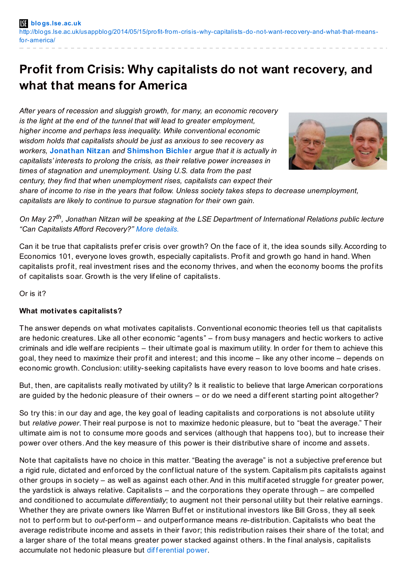# **Profit from Crisis: Why capitalists do not want recovery, and what that means for America**

*After years of recession and sluggish growth, for many, an economic recovery is the light at the end of the tunnel that will lead to greater employment, higher income and perhaps less inequality. While conventional economic wisdom holds that capitalists should be just as anxious to see recovery as workers,* **[Jonathan](http://wp.me/p3I2YF-1NI#Author) Nitzan** *and* **[Shimshon](http://wp.me/p3I2YF-1NI#Author) Bichler** *argue that it is actually in capitalists' interests to prolong the crisis, as their relative power increases in times of stagnation and unemployment. Using U.S. data from the past century, they find that when unemployment rises, capitalists can expect their*



*share of income to rise in the years that follow. Unless society takes steps to decrease unemployment, capitalists are likely to continue to pursue stagnation for their own gain.*

On May 27<sup>th</sup>, Jonathan Nitzan will be speaking at the LSE Department of International Relations public lecture *"Can Capitalists Afford Recovery?" More [details.](http://www.lse.ac.uk/publicEvents/events/2014/05/20140527t1500vSTCS75.aspx)*

Can it be true that capitalists prefer crisis over growth? On the face of it, the idea sounds silly. According to Economics 101, everyone loves growth, especially capitalists. Profit and growth go hand in hand. When capitalists profit, real investment rises and the economy thrives, and when the economy booms the profits of capitalists soar. Growth is the very lif eline of capitalists.

Or is it?

## **What motivates capitalists?**

The answer depends on what motivates capitalists. Conventional economic theories tell us that capitalists are hedonic creatures. Like all other economic "agents" – from busy managers and hectic workers to active criminals and idle welfare recipients – their ultimate goal is maximum utility. In order for them to achieve this goal, they need to maximize their profit and interest; and this income – like any other income – depends on economic growth. Conclusion: utility-seeking capitalists have every reason to love booms and hate crises.

But, then, are capitalists really motivated by utility? Is it realistic to believe that large American corporations are guided by the hedonic pleasure of their owners  $-$  or do we need a different starting point altogether?

So try this: in our day and age, the key goal of leading capitalists and corporations is not absolute utility but *relative power*. Their real purpose is not to maximize hedonic pleasure, but to "beat the average." Their ultimate aim is not to consume more goods and services (although that happens too), but to increase their power over others.And the key measure of this power is their distributive share of income and assets.

Note that capitalists have no choice in this matter. "Beating the average" is not a subjective pref erence but a rigid rule, dictated and enforced by the conflictual nature of the system. Capitalism pits capitalists against other groups in society – as well as against each other. And in this multif aceted struggle for greater power, the yardstick is always relative. Capitalists – and the corporations they operate through – are compelled and conditioned to accumulate *differentially*; to augment not their personal utility but their relative earnings. Whether they are private owners like Warren Buffet or institutional investors like Bill Gross, they all seek not to perf orm but to *out-*perf orm – and outperf ormance means *re*-distribution. Capitalists who beat the average redistribute income and assets in their favor; this redistribution raises their share of the total; and a larger share of the total means greater power stacked against others. In the final analysis, capitalists accumulate not hedonic pleasure but diff[erential](http://bnarchives.yorku.ca/259/) power.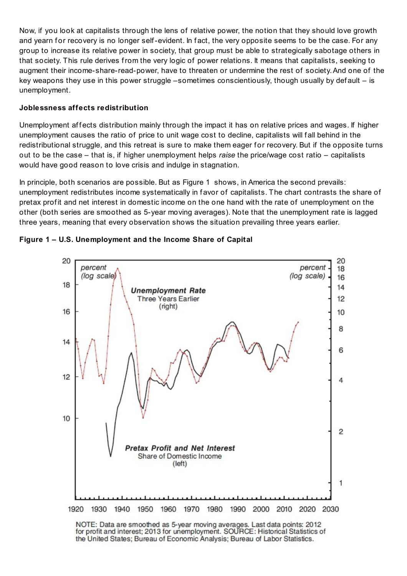Now, if you look at capitalists through the lens of relative power, the notion that they should love growth and yearn for recovery is no longer self-evident. In fact, the very opposite seems to be the case. For any group to increase its relative power in society, that group must be able to strategically sabotage others in that society. This rule derives from the very logic of power relations. It means that capitalists, seeking to augment their income-share-read-power, have to threaten or undermine the rest of society.And one of the key weapons they use in this power struggle –sometimes conscientiously, though usually by def ault – is unemployment.

## **Joblessness affects redistribution**

Unemployment affects distribution mainly through the impact it has on relative prices and wages. If higher unemployment causes the ratio of price to unit wage cost to decline, capitalists will fall behind in the redistributional struggle, and this retreat is sure to make them eager for recovery. But if the opposite turns out to be the case – that is, if higher unemployment helps *raise* the price/wage cost ratio – capitalists would have good reason to love crisis and indulge in stagnation.

In principle, both scenarios are possible. But as Figure 1 shows, in America the second prevails: unemployment redistributes income systematically in f avor of capitalists. The chart contrasts the share of pretax profit and net interest in domestic income on the one hand with the rate of unemployment on the other (both series are smoothed as 5-year moving averages). Note that the unemployment rate is lagged three years, meaning that every observation shows the situation prevailing three years earlier.



### **Figure 1 – U.S. Unemployment and the Income Share of Capital**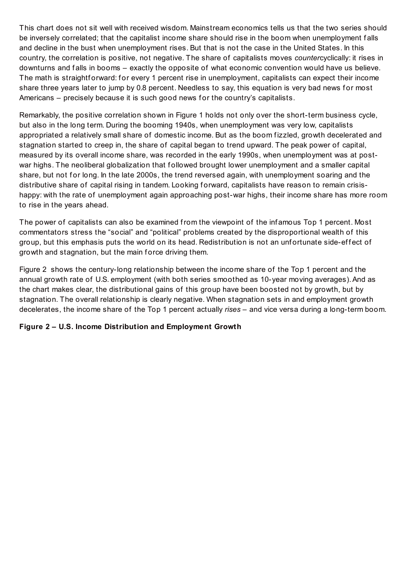This chart does not sit well with received wisdom. Mainstream economics tells us that the two series should be inversely correlated; that the capitalist income share should rise in the boom when unemployment f alls and decline in the bust when unemployment rises. But that is not the case in the United States. In this country, the correlation is positive, not negative. The share of capitalists moves *counter*cyclically: it rises in downturns and f alls in booms – exactly the opposite of what economic convention would have us believe. The math is straightforward: for every 1 percent rise in unemployment, capitalists can expect their income share three years later to jump by 0.8 percent. Needless to say, this equation is very bad news for most Americans – precisely because it is such good news for the country's capitalists.

Remarkably, the positive correlation shown in Figure 1 holds not only over the short-term business cycle, but also in the long term. During the booming 1940s, when unemployment was very low, capitalists appropriated a relatively small share of domestic income. But as the boom fizzled, growth decelerated and stagnation started to creep in, the share of capital began to trend upward. The peak power of capital, measured by its overall income share, was recorded in the early 1990s, when unemployment was at postwar highs. The neoliberal globalization that f ollowed brought lower unemployment and a smaller capital share, but not for long. In the late 2000s, the trend reversed again, with unemployment soaring and the distributive share of capital rising in tandem. Looking forward, capitalists have reason to remain crisishappy: with the rate of unemployment again approaching post-war highs, their income share has more room to rise in the years ahead.

The power of capitalists can also be examined from the viewpoint of the inf amous Top 1 percent. Most commentators stress the "social" and "political" problems created by the disproportional wealth of this group, but this emphasis puts the world on its head. Redistribution is not an unfortunate side-effect of growth and stagnation, but the main force driving them.

Figure 2 shows the century-long relationship between the income share of the Top 1 percent and the annual growth rate of U.S. employment (with both series smoothed as 10-year moving averages).And as the chart makes clear, the distributional gains of this group have been boosted not by growth, but by stagnation. The overall relationship is clearly negative. When stagnation sets in and employment growth decelerates, the income share of the Top 1 percent actually *rises* – and vice versa during a long-term boom.

#### **Figure 2 – U.S. Income Distribution and Employment Growth**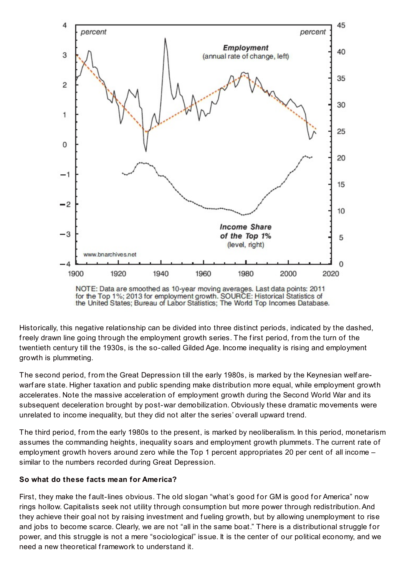

NOTE: Data are smoothed as 10-year moving averages. Last data points: 2011 for the Top 1%; 2013 for employment growth. SOURCE: Historical Statistics of the United States; Bureau of Labor Statistics; The World Top Incomes Database.

Historically, this negative relationship can be divided into three distinct periods, indicated by the dashed, freely drawn line going through the employment growth series. The first period, from the turn of the twentieth century till the 1930s, is the so-called Gilded Age. Income inequality is rising and employment growth is plummeting.

The second period, from the Great Depression till the early 1980s, is marked by the Keynesian welf arewarf are state. Higher taxation and public spending make distribution more equal, while employment growth accelerates. Note the massive acceleration of employment growth during the Second World War and its subsequent deceleration brought by post-war demobilization. Obviously these dramatic movements were unrelated to income inequality, but they did not alter the series' overall upward trend.

The third period, from the early 1980s to the present, is marked by neoliberalism. In this period, monetarism assumes the commanding heights, inequality soars and employment growth plummets. The current rate of employment growth hovers around zero while the Top 1 percent appropriates 20 per cent of all income – similar to the numbers recorded during Great Depression.

## **So what do these facts mean for America?**

First, they make the fault-lines obvious. The old slogan "what's good for GM is good for America" now rings hollow. Capitalists seek not utility through consumption but more power through redistribution.And they achieve their goal not by raising investment and f ueling growth, but by allowing unemployment to rise and jobs to become scarce. Clearly, we are not "all in the same boat." There is a distributional struggle for power, and this struggle is not a mere "sociological" issue. It is the center of our political economy, and we need a new theoretical framework to understand it.